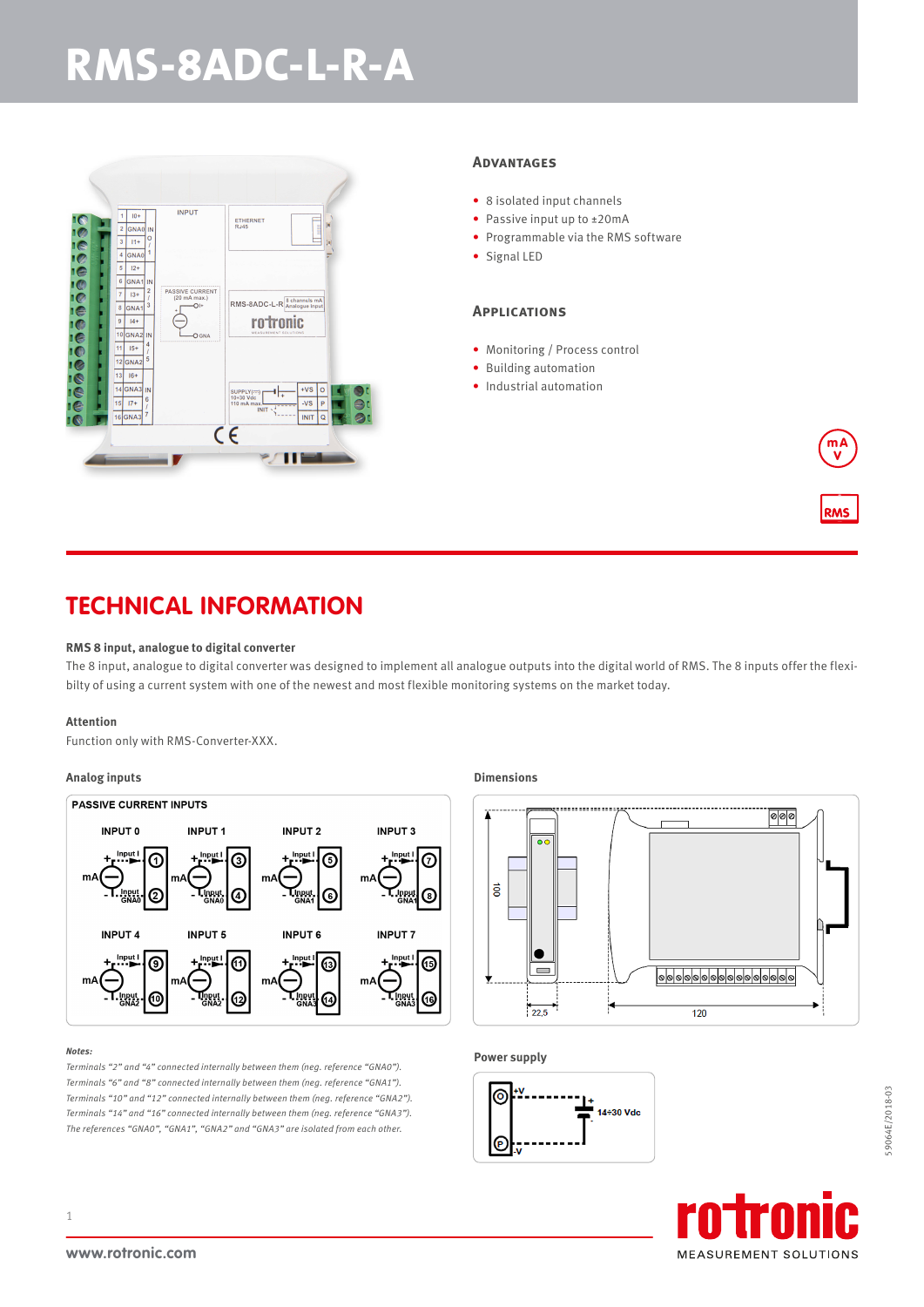# **RMS-8ADC-L-R-A**



#### **Advantages**

- 8 isolated input channels
- Passive input up to ±20mA
- Programmable via the RMS software
- Signal LED

#### **Applications**

- Monitoring / Process control
- Building automation
- Industrial automation

### **TECHNICAL INFORMATION**

#### **RMS 8 input, analogue to digital converter**

The 8 input, analogue to digital converter was designed to implement all analogue outputs into the digital world of RMS. The 8 inputs offer the flexibilty of using a current system with one of the newest and most flexible monitoring systems on the market today.

#### **Attention**

Function only with RMS-Converter-XXX.

#### **Analog inputs**



#### *Notes:*

*Terminals "2" and "4" connected internally between them (neg. reference "GNA0"). Terminals "6" and "8" connected internally between them (neg. reference "GNA1"). Terminals "10" and "12" connected internally between them (neg. reference "GNA2"). Terminals "14" and "16" connected internally between them (neg. reference "GNA3"). The references "GNA0", "GNA1", "GNA2" and "GNA3" are isolated from each other.*

#### **Dimensions**



#### **Power supply**



m A V

**RMS**